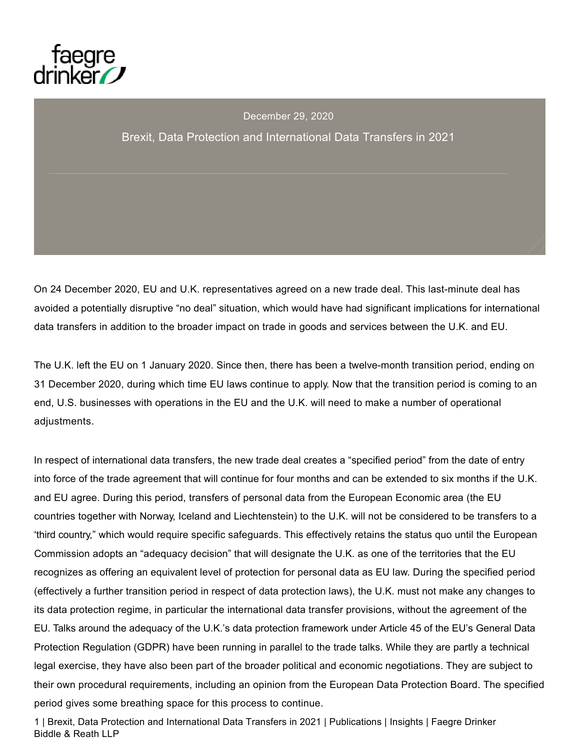

# December 29, 2020 Brexit, Data Protection and International Data Transfers in 2021

On 24 December 2020, EU and U.K. representatives agreed on a new trade deal. This last-minute deal has avoided a potentially disruptive "no deal" situation, which would have had significant implications for international data transfers in addition to the broader impact on trade in goods and services between the U.K. and EU.

The U.K. left the EU on 1 January 2020. Since then, there has been a twelve-month transition period, ending on 31 December 2020, during which time EU laws continue to apply. Now that the transition period is coming to an end, U.S. businesses with operations in the EU and the U.K. will need to make a number of operational adjustments.

In respect of international data transfers, the new trade deal creates a "specified period" from the date of entry into force of the trade agreement that will continue for four months and can be extended to six months if the U.K. and EU agree. During this period, transfers of personal data from the European Economic area (the EU countries together with Norway, Iceland and Liechtenstein) to the U.K. will not be considered to be transfers to a "third country," which would require specific safeguards. This effectively retains the status quo until the European Commission adopts an "adequacy decision" that will designate the U.K. as one of the territories that the EU recognizes as offering an equivalent level of protection for personal data as EU law. During the specified period (effectively a further transition period in respect of data protection laws), the U.K. must not make any changes to its data protection regime, in particular the international data transfer provisions, without the agreement of the EU. Talks around the adequacy of the U.K.'s data protection framework under Article 45 of the EU's General Data Protection Regulation (GDPR) have been running in parallel to the trade talks. While they are partly a technical legal exercise, they have also been part of the broader political and economic negotiations. They are subject to their own procedural requirements, including an opinion from the European Data Protection Board. The specified period gives some breathing space for this process to continue.

1 | Brexit, Data Protection and International Data Transfers in 2021 | Publications | Insights | Faegre Drinker Biddle & Reath LLP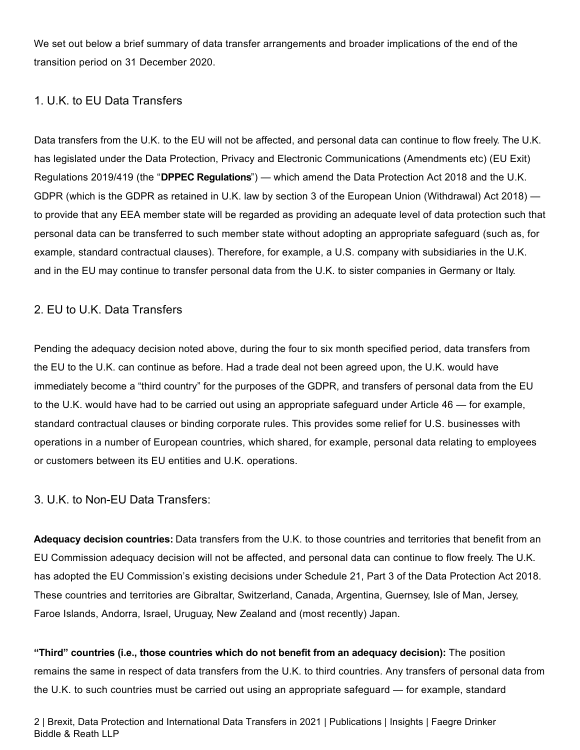We set out below a brief summary of data transfer arrangements and broader implications of the end of the transition period on 31 December 2020.

# 1. U.K. to EU Data Transfers

Data transfers from the U.K. to the EU will not be affected, and personal data can continue to flow freely. The U.K. has legislated under the Data Protection, Privacy and Electronic Communications (Amendments etc) (EU Exit) Regulations 2019/419 (the "**DPPEC Regulations**") — which amend the Data Protection Act 2018 and the U.K. GDPR (which is the GDPR as retained in U.K. law by section 3 of the European Union (Withdrawal) Act 2018) to provide that any EEA member state will be regarded as providing an adequate level of data protection such that personal data can be transferred to such member state without adopting an appropriate safeguard (such as, for example, standard contractual clauses). Therefore, for example, a U.S. company with subsidiaries in the U.K. and in the EU may continue to transfer personal data from the U.K. to sister companies in Germany or Italy.

### 2. EU to U.K. Data Transfers

Pending the adequacy decision noted above, during the four to six month specified period, data transfers from the EU to the U.K. can continue as before. Had a trade deal not been agreed upon, the U.K. would have immediately become a "third country" for the purposes of the GDPR, and transfers of personal data from the EU to the U.K. would have had to be carried out using an appropriate safeguard under Article 46 — for example, standard contractual clauses or binding corporate rules. This provides some relief for U.S. businesses with operations in a number of European countries, which shared, for example, personal data relating to employees or customers between its EU entities and U.K. operations.

### 3. U.K. to Non-EU Data Transfers:

**Adequacy decision countries:** Data transfers from the U.K. to those countries and territories that benefit from an EU Commission adequacy decision will not be affected, and personal data can continue to flow freely. The U.K. has adopted the EU Commission's existing decisions under Schedule 21, Part 3 of the Data Protection Act 2018. These countries and territories are Gibraltar, Switzerland, Canada, Argentina, Guernsey, Isle of Man, Jersey, Faroe Islands, Andorra, Israel, Uruguay, New Zealand and (most recently) Japan.

**"Third" countries (i.e., those countries which do not benefit from an adequacy decision):** The position remains the same in respect of data transfers from the U.K. to third countries. Any transfers of personal data from the U.K. to such countries must be carried out using an appropriate safeguard — for example, standard

2 | Brexit, Data Protection and International Data Transfers in 2021 | Publications | Insights | Faegre Drinker Biddle & Reath LLP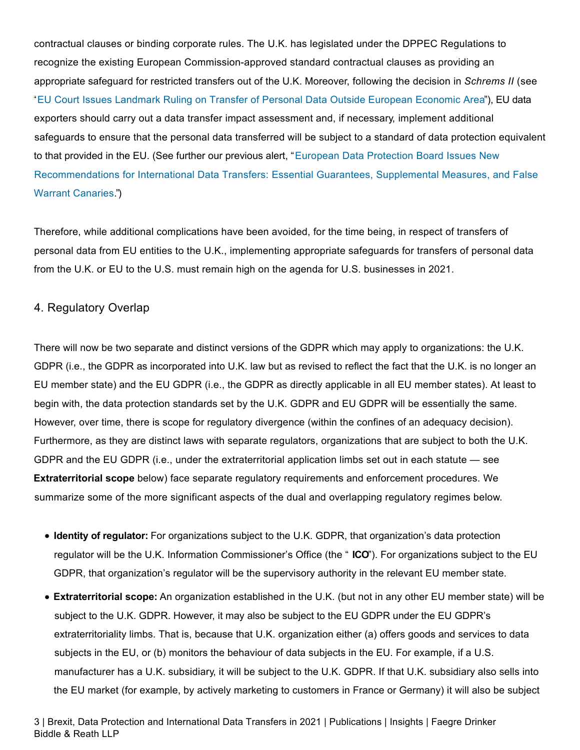contractual clauses or binding corporate rules. The U.K. has legislated under the DPPEC Regulations to recognize the existing European Commission-approved standard contractual clauses as providing an appropriate safeguard for restricted transfers out of the U.K. Moreover, following the decision in *Schrems II* (see "EU Court Issues Landmark Ruling on Transfer of Personal Data Outside European Economic Area"), EU data exporters should carry out a data transfer impact assessment and, if necessary, implement additional safeguards to ensure that the personal data transferred will be subject to a standard of data protection equivalent to that provided in the EU. (See further our previous alert, "European Data Protection Board Issues New Recommendations for International Data Transfers: Essential Guarantees, Supplemental Measures, and False Warrant Canaries.")

Therefore, while additional complications have been avoided, for the time being, in respect of transfers of personal data from EU entities to the U.K., implementing appropriate safeguards for transfers of personal data from the U.K. or EU to the U.S. must remain high on the agenda for U.S. businesses in 2021.

### 4. Regulatory Overlap

There will now be two separate and distinct versions of the GDPR which may apply to organizations: the U.K. GDPR (i.e., the GDPR as incorporated into U.K. law but as revised to reflect the fact that the U.K. is no longer an EU member state) and the EU GDPR (i.e., the GDPR as directly applicable in all EU member states). At least to begin with, the data protection standards set by the U.K. GDPR and EU GDPR will be essentially the same. However, over time, there is scope for regulatory divergence (within the confines of an adequacy decision). Furthermore, as they are distinct laws with separate regulators, organizations that are subject to both the U.K. GDPR and the EU GDPR (i.e., under the extraterritorial application limbs set out in each statute — see **Extraterritorial scope** below) face separate regulatory requirements and enforcement procedures. We summarize some of the more significant aspects of the dual and overlapping regulatory regimes below.

- **Identity of regulator:** For organizations subject to the U.K. GDPR, that organization's data protection regulator will be the U.K. Information Commissioner's Office (the " **ICO**"). For organizations subject to the EU GDPR, that organization's regulator will be the supervisory authority in the relevant EU member state.
- **Extraterritorial scope:** An organization established in the U.K. (but not in any other EU member state) will be subject to the U.K. GDPR. However, it may also be subject to the EU GDPR under the EU GDPR's extraterritoriality limbs. That is, because that U.K. organization either (a) offers goods and services to data subjects in the EU, or (b) monitors the behaviour of data subjects in the EU. For example, if a U.S. manufacturer has a U.K. subsidiary, it will be subject to the U.K. GDPR. If that U.K. subsidiary also sells into the EU market (for example, by actively marketing to customers in France or Germany) it will also be subject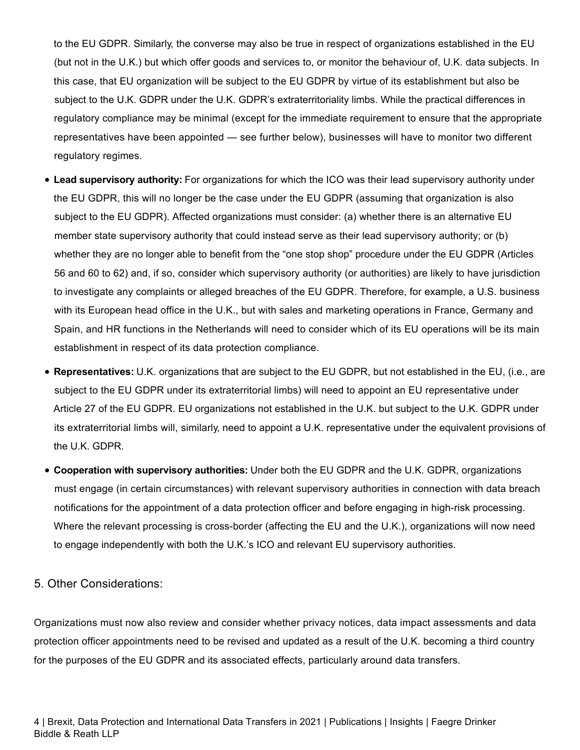to the EU GDPR. Similarly, the converse may also be true in respect of organizations established in the EU (but not in the U.K.) but which offer goods and services to, or monitor the behaviour of, U.K. data subjects. In this case, that EU organization will be subject to the EU GDPR by virtue of its establishment but also be subject to the U.K. GDPR under the U.K. GDPR's extraterritoriality limbs. While the practical differences in regulatory compliance may be minimal (except for the immediate requirement to ensure that the appropriate representatives have been appointed — see further below), businesses will have to monitor two different regulatory regimes.

- **Lead supervisory authority:** For organizations for which the ICO was their lead supervisory authority under the EU GDPR, this will no longer be the case under the EU GDPR (assuming that organization is also subject to the EU GDPR). Affected organizations must consider: (a) whether there is an alternative EU member state supervisory authority that could instead serve as their lead supervisory authority; or (b) whether they are no longer able to benefit from the "one stop shop" procedure under the EU GDPR (Articles 56 and 60 to 62) and, if so, consider which supervisory authority (or authorities) are likely to have jurisdiction to investigate any complaints or alleged breaches of the EU GDPR. Therefore, for example, a U.S. business with its European head office in the U.K., but with sales and marketing operations in France, Germany and Spain, and HR functions in the Netherlands will need to consider which of its EU operations will be its main establishment in respect of its data protection compliance.
- **Representatives:** U.K. organizations that are subject to the EU GDPR, but not established in the EU, (i.e., are subject to the EU GDPR under its extraterritorial limbs) will need to appoint an EU representative under Article 27 of the EU GDPR. EU organizations not established in the U.K. but subject to the U.K. GDPR under its extraterritorial limbs will, similarly, need to appoint a U.K. representative under the equivalent provisions of the U.K. GDPR.
- **Cooperation with supervisory authorities:** Under both the EU GDPR and the U.K. GDPR, organizations must engage (in certain circumstances) with relevant supervisory authorities in connection with data breach notifications for the appointment of a data protection officer and before engaging in high-risk processing. Where the relevant processing is cross-border (affecting the EU and the U.K.), organizations will now need to engage independently with both the U.K.'s ICO and relevant EU supervisory authorities.

### 5. Other Considerations:

Organizations must now also review and consider whether privacy notices, data impact assessments and data protection officer appointments need to be revised and updated as a result of the U.K. becoming a third country for the purposes of the EU GDPR and its associated effects, particularly around data transfers.